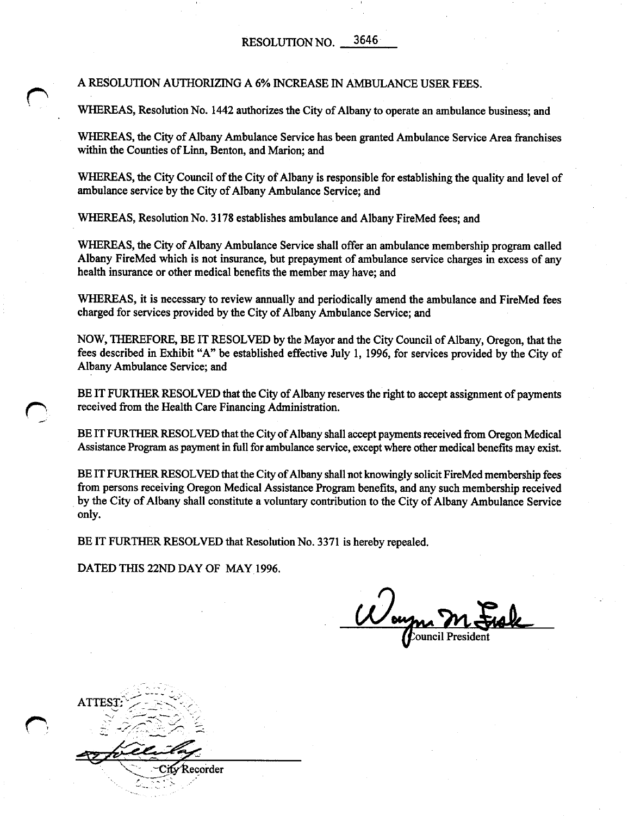<sup>A</sup> RESOLUTION AUTHORIZING <sup>A</sup> 6% INCREASE IN AMBULANCE USER FEES.

WHEREAS, Resolution No. 1442 authorizes the City of Albany to operate an ambulance business; and

WHEREAS, the City of Albany Ambulance Service has been granted Ambulance Service Area franchises within the Counties of Linn, Benton, and Marion; and

WHEREAS, the City Council of the City of Albany is responsible for establishing the quality and level of ambulance service by the City of Albany Ambulance Service; and

WHEREAS, Resolution No. 3178 establishes ambulance and Albany FireMed fees; and

WHEREAS, the City of Albany Ambulance Service shall offer an ambulance membership program called Albany FireMed which is not insurance, but prepayment of ambulance service charges in excess of any health insurance or other medical benefits the member may have; and

WHEREAS, it is necessary to review annually and periodically amend the ambulance and FireMed fees charged for services provided by the City of Albany Ambulance Service; and

NOW, THEREFORE, BE IT RESOLVED by the Mayor and the City Council of Albany, Oregon, that the fees described in Exhibit "A" be established effective July 1, 1996, for services provided by the City of Albany Ambulance Service; and

BE IT FURTHER RESOLVED that the City of Albany reserves the right to accept assignment of payments received from the Health Care Financing Administration.

BE IT FURTHER RESOLVED that the City of Albany shall accept payments received from Oregon Medical Assistance Program as payment in full for ambulance service, except where other medical benefits may exist.

BE IT FURTHER RESOLVED that the City of Albany shall not knowingly solicit FireMed membership fees from persons receiving Oregon Medical Assistance Program benefits, and any such membership received by the City of Albany shall constitute a voluntary contribution to the City of Albany Ambulance Service only.

BE IT FURTHER RESOLVED that Resolution No. 3371 is hereby repealed.

DATED THIS 22ND DAY OF MAY 1996.

Womm M.

Recorder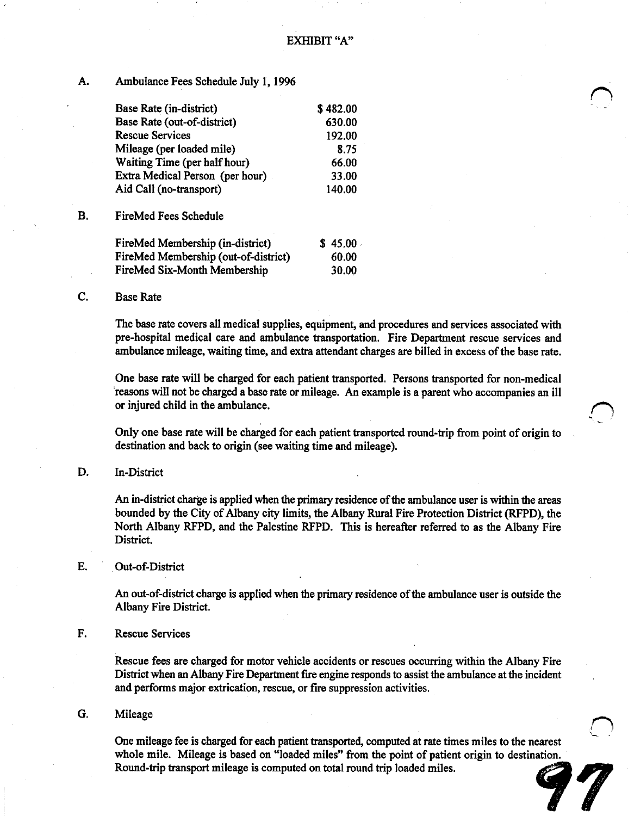# A. Ambulance Fees Schedule July 1, <sup>1996</sup>

| Base Rate (in-district)         | \$482.00 |
|---------------------------------|----------|
| Base Rate (out-of-district)     | 630.00   |
| <b>Rescue Services</b>          | 192.00   |
| Mileage (per loaded mile)       | 8.75     |
| Waiting Time (per half hour)    | 66.00    |
| Extra Medical Person (per hour) | 33.00    |
| Aid Call (no-transport)         | 140.00   |
|                                 |          |

B. FireMed Fees Schedule

| FireMed Membership (in-district)     | \$45.00 |
|--------------------------------------|---------|
| FireMed Membership (out-of-district) | 60.00   |
| FireMed Six-Month Membership         | 30.00   |

## C. Base Rate

The base rate covers all medical supplies, equipment, and procedures and services associated with pre-hospital medical care and ambulance transportation. Fire Department rescue services and ambulance mileage, waiting time, and extra attendant charges are billed in excess ofthe base rate.

One base rate will be charged for each patient transported. Persons transported for non-medical reasons will not be charged <sup>a</sup> base rate or mileage. An example is <sup>a</sup> parent who accompanies an ill or injured child in the ambulance.

Only one base rate will be charged for each patient transported round-trip from point of origin to destination and back to origin (see waiting time and mileage).

## D. In-District

An in-district charge is applied when the primary residence of the ambulance user is within the areas bounded by the City of Albany city limits, the Albany Rural Fire Protection District (RFPD), the North Albany RFPD, and the Palestine RFPD. This is hereafter referred to as the Albany Fire District.

### E. Out-of-District

An out-of-district charge is applied when the primary residence of the ambulance user is outside the Albany Fire District.

### F. Rescue Services

Rescue fees are charged for motor vehicle accidents or rescues occurring within the Albany Fire District when an Albany Fire Department fire engine responds to assist the ambulance at the incident and performs major extrication, rescue, or fire suppression activities.

# G. Mileage

One mileage fee is charged for each patient transported, computed at rate times miles to the nearest whole mile. Mileage is based on "loaded miles" from the point of patient origin to destination. Round-trip transport mileage is computed on total round trip loaded miles. ~

7